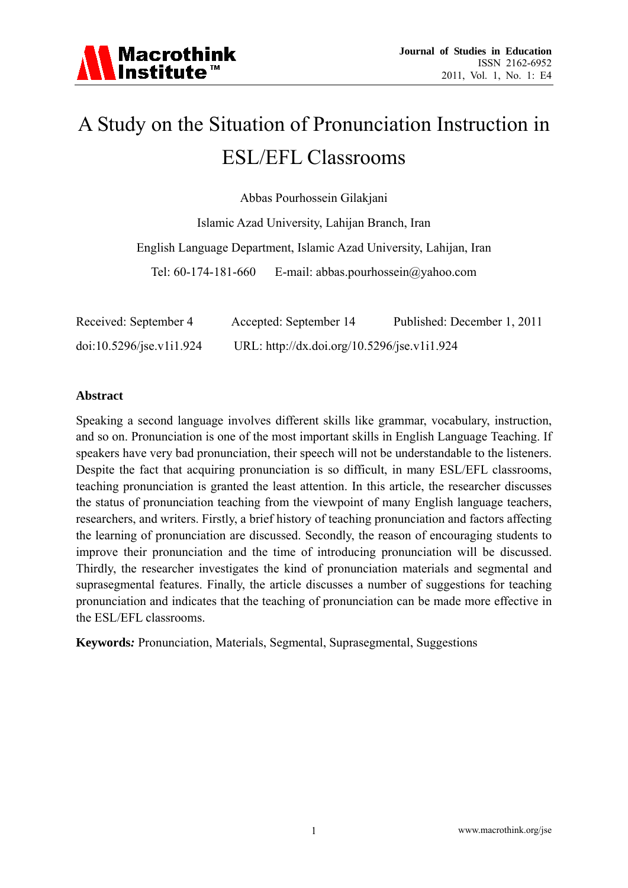

# A Study on the Situation of Pronunciation Instruction in ESL/EFL Classrooms

Abbas Pourhossein Gilakjani

Islamic Azad University, Lahijan Branch, Iran English Language Department, Islamic Azad University, Lahijan, Iran Tel: 60-174-181-660 E-mail: abbas.pourhossein@yahoo.com

| Received: September 4       | Accepted: September 14                      | Published: December 1, 2011 |
|-----------------------------|---------------------------------------------|-----------------------------|
| $doi:10.5296/$ jse.vli1.924 | URL: http://dx.doi.org/10.5296/jse.v1i1.924 |                             |

#### **Abstract**

Speaking a second language involves different skills like grammar, vocabulary, instruction, and so on. Pronunciation is one of the most important skills in English Language Teaching. If speakers have very bad pronunciation, their speech will not be understandable to the listeners. Despite the fact that acquiring pronunciation is so difficult, in many ESL/EFL classrooms, teaching pronunciation is granted the least attention. In this article, the researcher discusses the status of pronunciation teaching from the viewpoint of many English language teachers, researchers, and writers. Firstly, a brief history of teaching pronunciation and factors affecting the learning of pronunciation are discussed. Secondly, the reason of encouraging students to improve their pronunciation and the time of introducing pronunciation will be discussed. Thirdly, the researcher investigates the kind of pronunciation materials and segmental and suprasegmental features. Finally, the article discusses a number of suggestions for teaching pronunciation and indicates that the teaching of pronunciation can be made more effective in the ESL/EFL classrooms.

**Keywords***:* Pronunciation, Materials, Segmental, Suprasegmental, Suggestions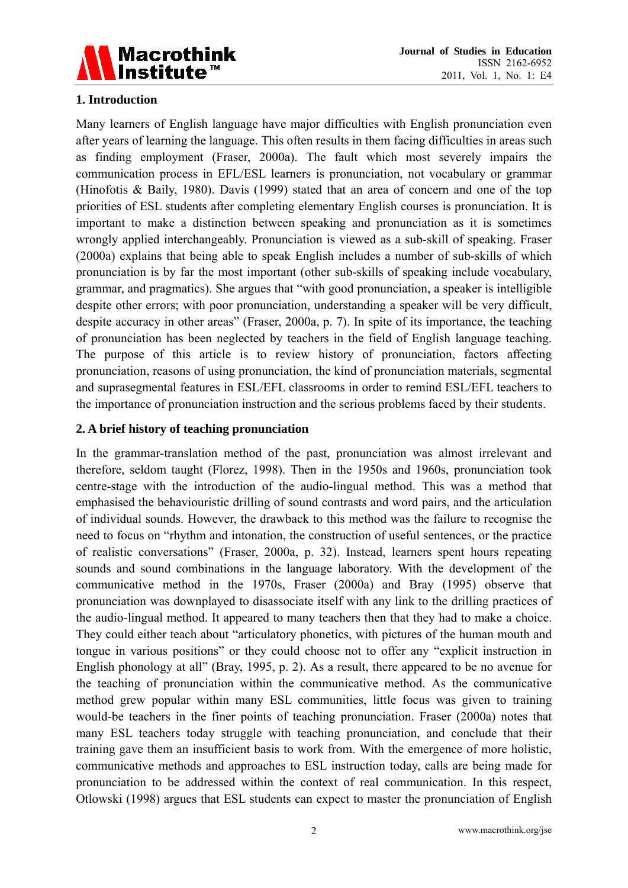

# **1. Introduction**

Many learners of English language have major difficulties with English pronunciation even after years of learning the language. This often results in them facing difficulties in areas such as finding employment (Fraser, 2000a). The fault which most severely impairs the communication process in EFL/ESL learners is pronunciation, not vocabulary or grammar (Hinofotis & Baily, 1980). Davis (1999) stated that an area of concern and one of the top priorities of ESL students after completing elementary English courses is pronunciation. It is important to make a distinction between speaking and pronunciation as it is sometimes wrongly applied interchangeably. Pronunciation is viewed as a sub-skill of speaking. Fraser (2000a) explains that being able to speak English includes a number of sub-skills of which pronunciation is by far the most important (other sub-skills of speaking include vocabulary, grammar, and pragmatics). She argues that "with good pronunciation, a speaker is intelligible despite other errors; with poor pronunciation, understanding a speaker will be very difficult, despite accuracy in other areas" (Fraser, 2000a, p. 7). In spite of its importance, the teaching of pronunciation has been neglected by teachers in the field of English language teaching. The purpose of this article is to review history of pronunciation, factors affecting pronunciation, reasons of using pronunciation, the kind of pronunciation materials, segmental and suprasegmental features in ESL/EFL classrooms in order to remind ESL/EFL teachers to the importance of pronunciation instruction and the serious problems faced by their students.

#### **2. A brief history of teaching pronunciation**

In the grammar-translation method of the past, pronunciation was almost irrelevant and therefore, seldom taught (Florez, 1998). Then in the 1950s and 1960s, pronunciation took centre-stage with the introduction of the audio-lingual method. This was a method that emphasised the behaviouristic drilling of sound contrasts and word pairs, and the articulation of individual sounds. However, the drawback to this method was the failure to recognise the need to focus on "rhythm and intonation, the construction of useful sentences, or the practice of realistic conversations" (Fraser, 2000a, p. 32). Instead, learners spent hours repeating sounds and sound combinations in the language laboratory. With the development of the communicative method in the 1970s, Fraser (2000a) and Bray (1995) observe that pronunciation was downplayed to disassociate itself with any link to the drilling practices of the audio-lingual method. It appeared to many teachers then that they had to make a choice. They could either teach about "articulatory phonetics, with pictures of the human mouth and tongue in various positions" or they could choose not to offer any "explicit instruction in English phonology at all" (Bray, 1995, p. 2). As a result, there appeared to be no avenue for the teaching of pronunciation within the communicative method. As the communicative method grew popular within many ESL communities, little focus was given to training would-be teachers in the finer points of teaching pronunciation. Fraser (2000a) notes that many ESL teachers today struggle with teaching pronunciation, and conclude that their training gave them an insufficient basis to work from. With the emergence of more holistic, communicative methods and approaches to ESL instruction today, calls are being made for pronunciation to be addressed within the context of real communication. In this respect, Otlowski (1998) argues that ESL students can expect to master the pronunciation of English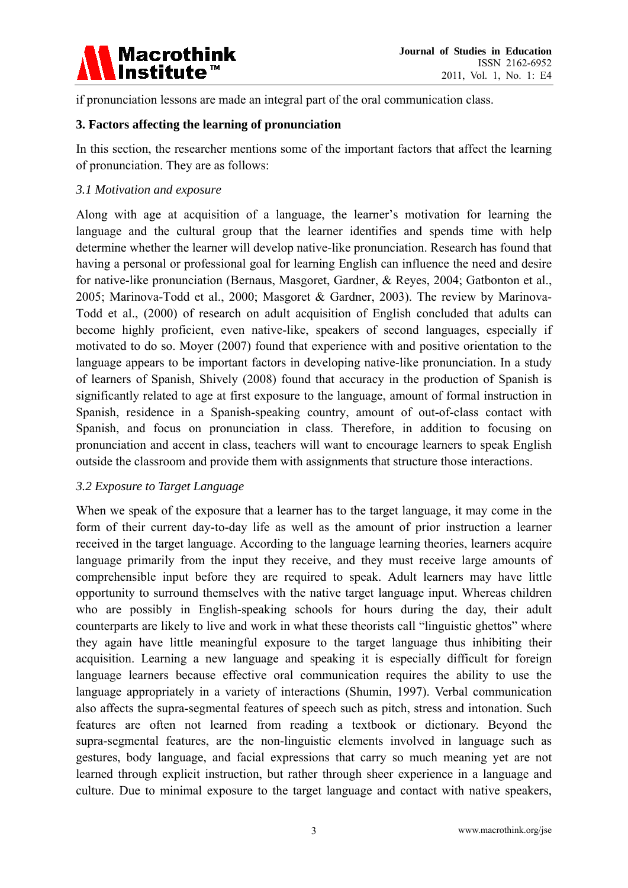

if pronunciation lessons are made an integral part of the oral communication class.

#### **3. Factors affecting the learning of pronunciation**

In this section, the researcher mentions some of the important factors that affect the learning of pronunciation. They are as follows:

#### *3.1 Motivation and exposure*

Along with age at acquisition of a language, the learner's motivation for learning the language and the cultural group that the learner identifies and spends time with help determine whether the learner will develop native-like pronunciation. Research has found that having a personal or professional goal for learning English can influence the need and desire for native-like pronunciation (Bernaus, Masgoret, Gardner, & Reyes, 2004; Gatbonton et al., 2005; Marinova-Todd et al., 2000; Masgoret & Gardner, 2003). The review by Marinova-Todd et al., (2000) of research on adult acquisition of English concluded that adults can become highly proficient, even native-like, speakers of second languages, especially if motivated to do so. Moyer (2007) found that experience with and positive orientation to the language appears to be important factors in developing native-like pronunciation. In a study of learners of Spanish, Shively (2008) found that accuracy in the production of Spanish is significantly related to age at first exposure to the language, amount of formal instruction in Spanish, residence in a Spanish-speaking country, amount of out-of-class contact with Spanish, and focus on pronunciation in class. Therefore, in addition to focusing on pronunciation and accent in class, teachers will want to encourage learners to speak English outside the classroom and provide them with assignments that structure those interactions.

#### *3.2 Exposure to Target Language*

When we speak of the exposure that a learner has to the target language, it may come in the form of their current day-to-day life as well as the amount of prior instruction a learner received in the target language. According to the language learning theories, learners acquire language primarily from the input they receive, and they must receive large amounts of comprehensible input before they are required to speak. Adult learners may have little opportunity to surround themselves with the native target language input. Whereas children who are possibly in English-speaking schools for hours during the day, their adult counterparts are likely to live and work in what these theorists call "linguistic ghettos" where they again have little meaningful exposure to the target language thus inhibiting their acquisition. Learning a new language and speaking it is especially difficult for foreign language learners because effective oral communication requires the ability to use the language appropriately in a variety of interactions (Shumin, 1997). Verbal communication also affects the supra-segmental features of speech such as pitch, stress and intonation. Such features are often not learned from reading a textbook or dictionary. Beyond the supra-segmental features, are the non-linguistic elements involved in language such as gestures, body language, and facial expressions that carry so much meaning yet are not learned through explicit instruction, but rather through sheer experience in a language and culture. Due to minimal exposure to the target language and contact with native speakers,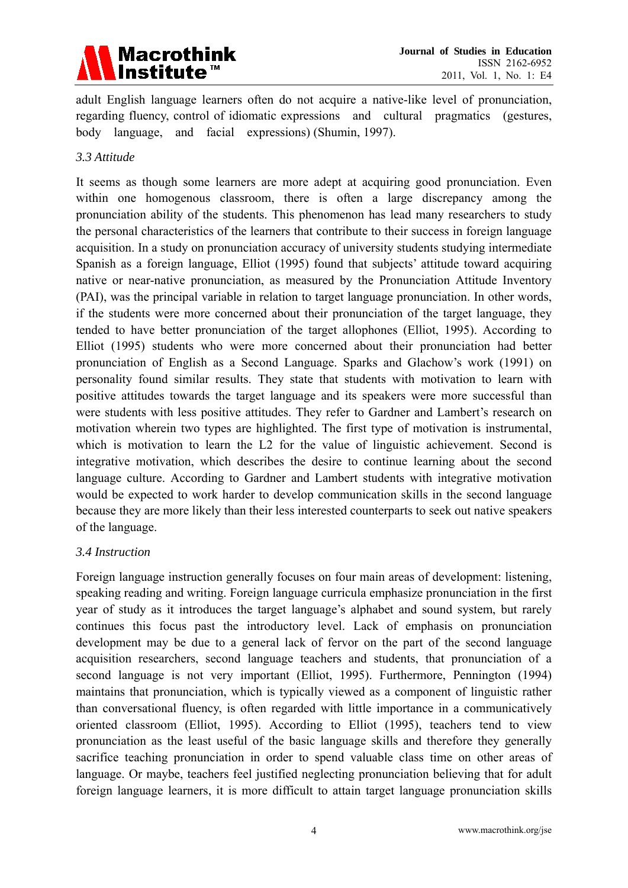

adult English language learners often do not acquire a native-like level of pronunciation, regarding fluency, control of idiomatic expressions and cultural pragmatics (gestures, body language, and facial expressions) (Shumin, 1997).

#### *3.3 Attitude*

It seems as though some learners are more adept at acquiring good pronunciation. Even within one homogenous classroom, there is often a large discrepancy among the pronunciation ability of the students. This phenomenon has lead many researchers to study the personal characteristics of the learners that contribute to their success in foreign language acquisition. In a study on pronunciation accuracy of university students studying intermediate Spanish as a foreign language, Elliot (1995) found that subjects' attitude toward acquiring native or near-native pronunciation, as measured by the Pronunciation Attitude Inventory (PAI), was the principal variable in relation to target language pronunciation. In other words, if the students were more concerned about their pronunciation of the target language, they tended to have better pronunciation of the target allophones (Elliot, 1995). According to Elliot (1995) students who were more concerned about their pronunciation had better pronunciation of English as a Second Language. Sparks and Glachow's work (1991) on personality found similar results. They state that students with motivation to learn with positive attitudes towards the target language and its speakers were more successful than were students with less positive attitudes. They refer to Gardner and Lambert's research on motivation wherein two types are highlighted. The first type of motivation is instrumental, which is motivation to learn the L2 for the value of linguistic achievement. Second is integrative motivation, which describes the desire to continue learning about the second language culture. According to Gardner and Lambert students with integrative motivation would be expected to work harder to develop communication skills in the second language because they are more likely than their less interested counterparts to seek out native speakers of the language.

#### *3.4 Instruction*

Foreign language instruction generally focuses on four main areas of development: listening, speaking reading and writing. Foreign language curricula emphasize pronunciation in the first year of study as it introduces the target language's alphabet and sound system, but rarely continues this focus past the introductory level. Lack of emphasis on pronunciation development may be due to a general lack of fervor on the part of the second language acquisition researchers, second language teachers and students, that pronunciation of a second language is not very important (Elliot, 1995). Furthermore, Pennington (1994) maintains that pronunciation, which is typically viewed as a component of linguistic rather than conversational fluency, is often regarded with little importance in a communicatively oriented classroom (Elliot, 1995). According to Elliot (1995), teachers tend to view pronunciation as the least useful of the basic language skills and therefore they generally sacrifice teaching pronunciation in order to spend valuable class time on other areas of language. Or maybe, teachers feel justified neglecting pronunciation believing that for adult foreign language learners, it is more difficult to attain target language pronunciation skills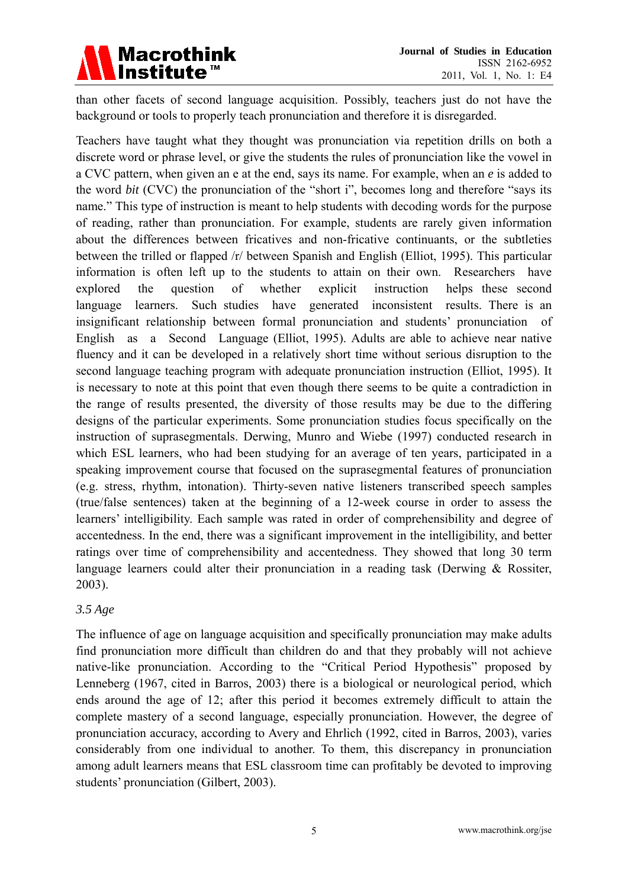# Macrothink<br>Institute™

than other facets of second language acquisition. Possibly, teachers just do not have the background or tools to properly teach pronunciation and therefore it is disregarded.

Teachers have taught what they thought was pronunciation via repetition drills on both a discrete word or phrase level, or give the students the rules of pronunciation like the vowel in a CVC pattern, when given an e at the end, says its name. For example, when an *e* is added to the word *bit* (CVC) the pronunciation of the "short i", becomes long and therefore "says its name." This type of instruction is meant to help students with decoding words for the purpose of reading, rather than pronunciation. For example, students are rarely given information about the differences between fricatives and non-fricative continuants, or the subtleties between the trilled or flapped /r/ between Spanish and English (Elliot, 1995). This particular information is often left up to the students to attain on their own. Researchers have explored the question of whether explicit instruction helps these second language learners. Such studies have generated inconsistent results. There is an insignificant relationship between formal pronunciation and students' pronunciation of English as a Second Language (Elliot, 1995). Adults are able to achieve near native fluency and it can be developed in a relatively short time without serious disruption to the second language teaching program with adequate pronunciation instruction (Elliot, 1995). It is necessary to note at this point that even though there seems to be quite a contradiction in the range of results presented, the diversity of those results may be due to the differing designs of the particular experiments. Some pronunciation studies focus specifically on the instruction of suprasegmentals. Derwing, Munro and Wiebe (1997) conducted research in which ESL learners, who had been studying for an average of ten years, participated in a speaking improvement course that focused on the suprasegmental features of pronunciation (e.g. stress, rhythm, intonation). Thirty-seven native listeners transcribed speech samples (true/false sentences) taken at the beginning of a 12-week course in order to assess the learners' intelligibility. Each sample was rated in order of comprehensibility and degree of accentedness. In the end, there was a significant improvement in the intelligibility, and better ratings over time of comprehensibility and accentedness. They showed that long 30 term language learners could alter their pronunciation in a reading task (Derwing & Rossiter, 2003).

# *3.5 Age*

The influence of age on language acquisition and specifically pronunciation may make adults find pronunciation more difficult than children do and that they probably will not achieve native-like pronunciation. According to the "Critical Period Hypothesis" proposed by Lenneberg (1967, cited in Barros, 2003) there is a biological or neurological period, which ends around the age of 12; after this period it becomes extremely difficult to attain the complete mastery of a second language, especially pronunciation. However, the degree of pronunciation accuracy, according to Avery and Ehrlich (1992, cited in Barros, 2003), varies considerably from one individual to another. To them, this discrepancy in pronunciation among adult learners means that ESL classroom time can profitably be devoted to improving students' pronunciation (Gilbert, 2003).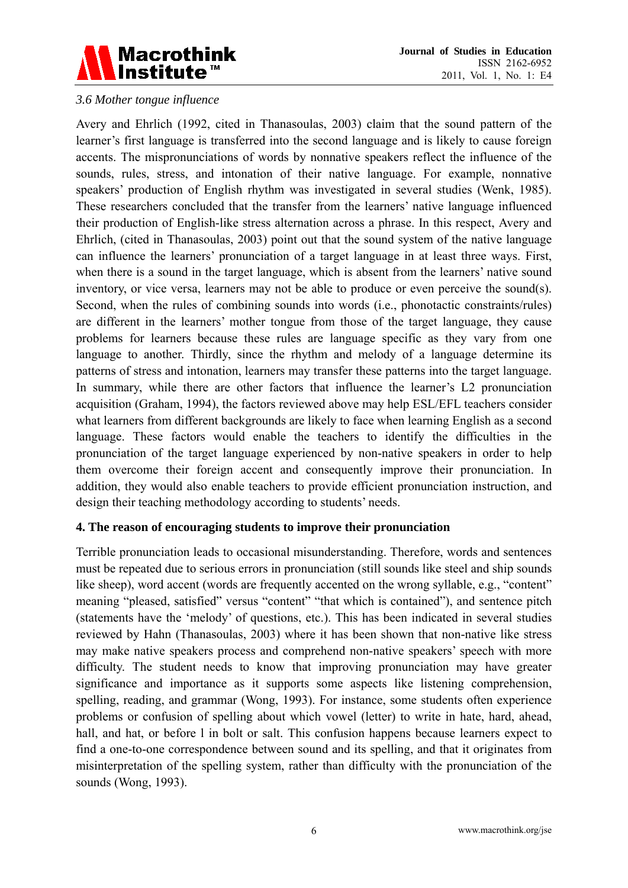

#### *3.6 Mother tongue influence*

Avery and Ehrlich (1992, cited in Thanasoulas, 2003) claim that the sound pattern of the learner's first language is transferred into the second language and is likely to cause foreign accents. The mispronunciations of words by nonnative speakers reflect the influence of the sounds, rules, stress, and intonation of their native language. For example, nonnative speakers' production of English rhythm was investigated in several studies (Wenk, 1985). These researchers concluded that the transfer from the learners' native language influenced their production of English-like stress alternation across a phrase. In this respect, Avery and Ehrlich, (cited in Thanasoulas, 2003) point out that the sound system of the native language can influence the learners' pronunciation of a target language in at least three ways. First, when there is a sound in the target language, which is absent from the learners' native sound inventory, or vice versa, learners may not be able to produce or even perceive the sound(s). Second, when the rules of combining sounds into words (i.e., phonotactic constraints/rules) are different in the learners' mother tongue from those of the target language, they cause problems for learners because these rules are language specific as they vary from one language to another. Thirdly, since the rhythm and melody of a language determine its patterns of stress and intonation, learners may transfer these patterns into the target language. In summary, while there are other factors that influence the learner's L2 pronunciation acquisition (Graham, 1994), the factors reviewed above may help ESL/EFL teachers consider what learners from different backgrounds are likely to face when learning English as a second language. These factors would enable the teachers to identify the difficulties in the pronunciation of the target language experienced by non-native speakers in order to help them overcome their foreign accent and consequently improve their pronunciation. In addition, they would also enable teachers to provide efficient pronunciation instruction, and design their teaching methodology according to students' needs.

#### **4. The reason of encouraging students to improve their pronunciation**

Terrible pronunciation leads to occasional misunderstanding. Therefore, words and sentences must be repeated due to serious errors in pronunciation (still sounds like steel and ship sounds like sheep), word accent (words are frequently accented on the wrong syllable, e.g., "content" meaning "pleased, satisfied" versus "content" "that which is contained"), and sentence pitch (statements have the 'melody' of questions, etc.). This has been indicated in several studies reviewed by Hahn (Thanasoulas, 2003) where it has been shown that non-native like stress may make native speakers process and comprehend non-native speakers' speech with more difficulty. The student needs to know that improving pronunciation may have greater significance and importance as it supports some aspects like listening comprehension, spelling, reading, and grammar (Wong, 1993). For instance, some students often experience problems or confusion of spelling about which vowel (letter) to write in hate, hard, ahead, hall, and hat, or before 1 in bolt or salt. This confusion happens because learners expect to find a one-to-one correspondence between sound and its spelling, and that it originates from misinterpretation of the spelling system, rather than difficulty with the pronunciation of the sounds (Wong, 1993).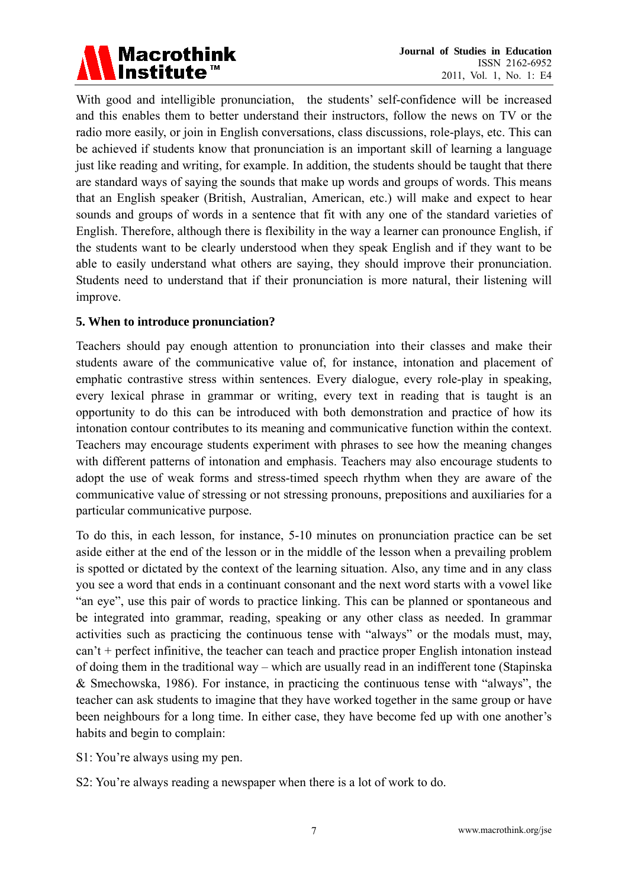

With good and intelligible pronunciation, the students' self-confidence will be increased and this enables them to better understand their instructors, follow the news on TV or the radio more easily, or join in English conversations, class discussions, role-plays, etc. This can be achieved if students know that pronunciation is an important skill of learning a language just like reading and writing, for example. In addition, the students should be taught that there are standard ways of saying the sounds that make up words and groups of words. This means that an English speaker (British, Australian, American, etc.) will make and expect to hear sounds and groups of words in a sentence that fit with any one of the standard varieties of English. Therefore, although there is flexibility in the way a learner can pronounce English, if the students want to be clearly understood when they speak English and if they want to be able to easily understand what others are saying, they should improve their pronunciation. Students need to understand that if their pronunciation is more natural, their listening will improve.

# **5. When to introduce pronunciation?**

Teachers should pay enough attention to pronunciation into their classes and make their students aware of the communicative value of, for instance, intonation and placement of emphatic contrastive stress within sentences. Every dialogue, every role-play in speaking, every lexical phrase in grammar or writing, every text in reading that is taught is an opportunity to do this can be introduced with both demonstration and practice of how its intonation contour contributes to its meaning and communicative function within the context. Teachers may encourage students experiment with phrases to see how the meaning changes with different patterns of intonation and emphasis. Teachers may also encourage students to adopt the use of weak forms and stress-timed speech rhythm when they are aware of the communicative value of stressing or not stressing pronouns, prepositions and auxiliaries for a particular communicative purpose.

To do this, in each lesson, for instance, 5-10 minutes on pronunciation practice can be set aside either at the end of the lesson or in the middle of the lesson when a prevailing problem is spotted or dictated by the context of the learning situation. Also, any time and in any class you see a word that ends in a continuant consonant and the next word starts with a vowel like "an eye", use this pair of words to practice linking. This can be planned or spontaneous and be integrated into grammar, reading, speaking or any other class as needed. In grammar activities such as practicing the continuous tense with "always" or the modals must, may, can't + perfect infinitive, the teacher can teach and practice proper English intonation instead of doing them in the traditional way – which are usually read in an indifferent tone (Stapinska & Smechowska, 1986). For instance, in practicing the continuous tense with "always", the teacher can ask students to imagine that they have worked together in the same group or have been neighbours for a long time. In either case, they have become fed up with one another's habits and begin to complain:

- S1: You're always using my pen.
- S2: You're always reading a newspaper when there is a lot of work to do.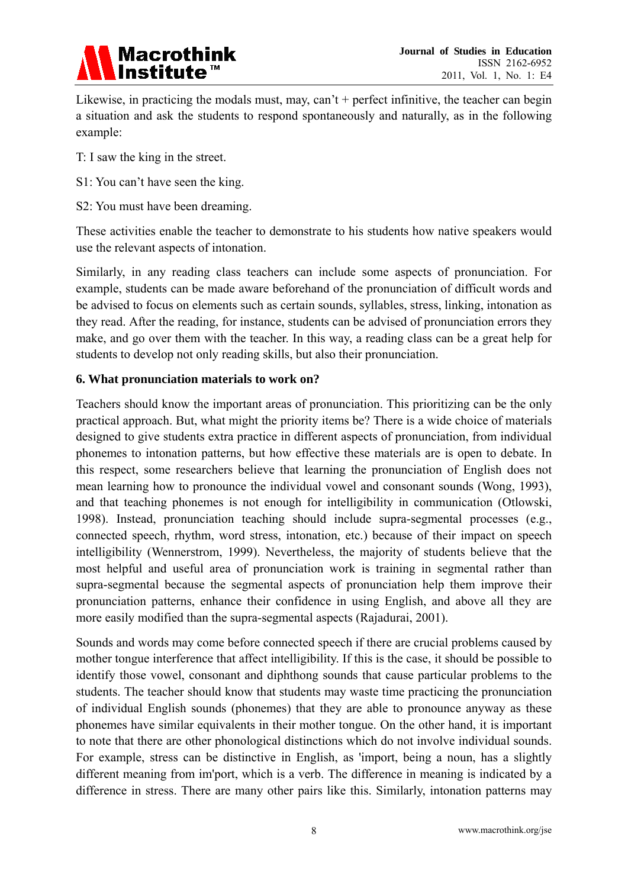

Likewise, in practicing the modals must, may,  $can't + perfect$  infinitive, the teacher can begin a situation and ask the students to respond spontaneously and naturally, as in the following example:

- T: I saw the king in the street.
- S1: You can't have seen the king.
- S2: You must have been dreaming.

These activities enable the teacher to demonstrate to his students how native speakers would use the relevant aspects of intonation.

Similarly, in any reading class teachers can include some aspects of pronunciation. For example, students can be made aware beforehand of the pronunciation of difficult words and be advised to focus on elements such as certain sounds, syllables, stress, linking, intonation as they read. After the reading, for instance, students can be advised of pronunciation errors they make, and go over them with the teacher. In this way, a reading class can be a great help for students to develop not only reading skills, but also their pronunciation.

#### **6. What pronunciation materials to work on?**

Teachers should know the important areas of pronunciation. This prioritizing can be the only practical approach. But, what might the priority items be? There is a wide choice of materials designed to give students extra practice in different aspects of pronunciation, from individual phonemes to intonation patterns, but how effective these materials are is open to debate. In this respect, some researchers believe that learning the pronunciation of English does not mean learning how to pronounce the individual vowel and consonant sounds (Wong, 1993), and that teaching phonemes is not enough for intelligibility in communication (Otlowski, 1998). Instead, pronunciation teaching should include supra-segmental processes (e.g., connected speech, rhythm, word stress, intonation, etc.) because of their impact on speech intelligibility (Wennerstrom, 1999). Nevertheless, the majority of students believe that the most helpful and useful area of pronunciation work is training in segmental rather than supra-segmental because the segmental aspects of pronunciation help them improve their pronunciation patterns, enhance their confidence in using English, and above all they are more easily modified than the supra-segmental aspects (Rajadurai, 2001).

Sounds and words may come before connected speech if there are crucial problems caused by mother tongue interference that affect intelligibility. If this is the case, it should be possible to identify those vowel, consonant and diphthong sounds that cause particular problems to the students. The teacher should know that students may waste time practicing the pronunciation of individual English sounds (phonemes) that they are able to pronounce anyway as these phonemes have similar equivalents in their mother tongue. On the other hand, it is important to note that there are other phonological distinctions which do not involve individual sounds. For example, stress can be distinctive in English, as 'import, being a noun, has a slightly different meaning from im'port, which is a verb. The difference in meaning is indicated by a difference in stress. There are many other pairs like this. Similarly, intonation patterns may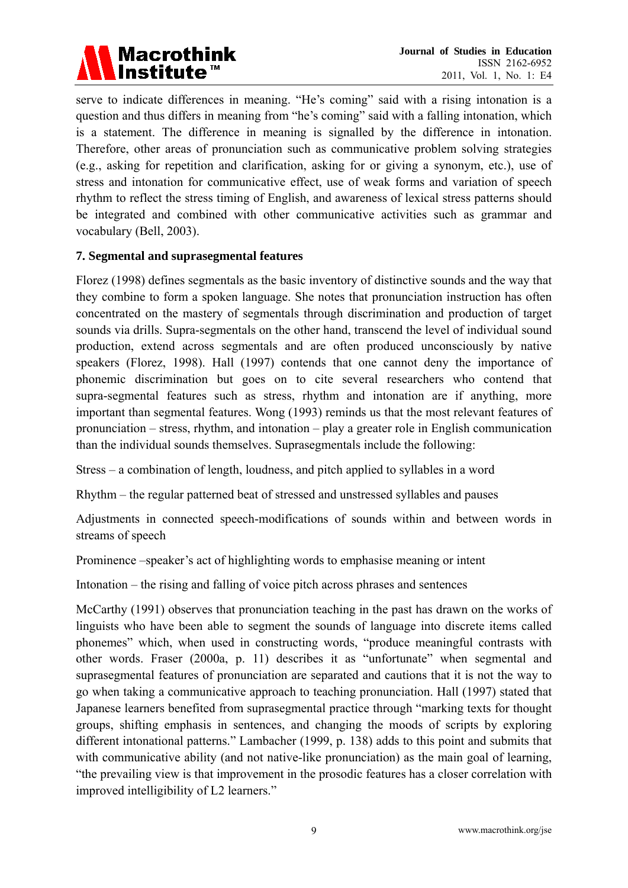

serve to indicate differences in meaning. "He's coming" said with a rising intonation is a question and thus differs in meaning from "he's coming" said with a falling intonation, which is a statement. The difference in meaning is signalled by the difference in intonation. Therefore, other areas of pronunciation such as communicative problem solving strategies (e.g., asking for repetition and clarification, asking for or giving a synonym, etc.), use of stress and intonation for communicative effect, use of weak forms and variation of speech rhythm to reflect the stress timing of English, and awareness of lexical stress patterns should be integrated and combined with other communicative activities such as grammar and vocabulary (Bell, 2003).

# **7. Segmental and suprasegmental features**

Florez (1998) defines segmentals as the basic inventory of distinctive sounds and the way that they combine to form a spoken language. She notes that pronunciation instruction has often concentrated on the mastery of segmentals through discrimination and production of target sounds via drills. Supra-segmentals on the other hand, transcend the level of individual sound production, extend across segmentals and are often produced unconsciously by native speakers (Florez, 1998). Hall (1997) contends that one cannot deny the importance of phonemic discrimination but goes on to cite several researchers who contend that supra-segmental features such as stress, rhythm and intonation are if anything, more important than segmental features. Wong (1993) reminds us that the most relevant features of pronunciation – stress, rhythm, and intonation – play a greater role in English communication than the individual sounds themselves. Suprasegmentals include the following:

Stress – a combination of length, loudness, and pitch applied to syllables in a word

Rhythm – the regular patterned beat of stressed and unstressed syllables and pauses

Adjustments in connected speech-modifications of sounds within and between words in streams of speech

Prominence –speaker's act of highlighting words to emphasise meaning or intent

Intonation – the rising and falling of voice pitch across phrases and sentences

McCarthy (1991) observes that pronunciation teaching in the past has drawn on the works of linguists who have been able to segment the sounds of language into discrete items called phonemes" which, when used in constructing words, "produce meaningful contrasts with other words. Fraser (2000a, p. 11) describes it as "unfortunate" when segmental and suprasegmental features of pronunciation are separated and cautions that it is not the way to go when taking a communicative approach to teaching pronunciation. Hall (1997) stated that Japanese learners benefited from suprasegmental practice through "marking texts for thought groups, shifting emphasis in sentences, and changing the moods of scripts by exploring different intonational patterns." Lambacher (1999, p. 138) adds to this point and submits that with communicative ability (and not native-like pronunciation) as the main goal of learning. "the prevailing view is that improvement in the prosodic features has a closer correlation with improved intelligibility of L2 learners."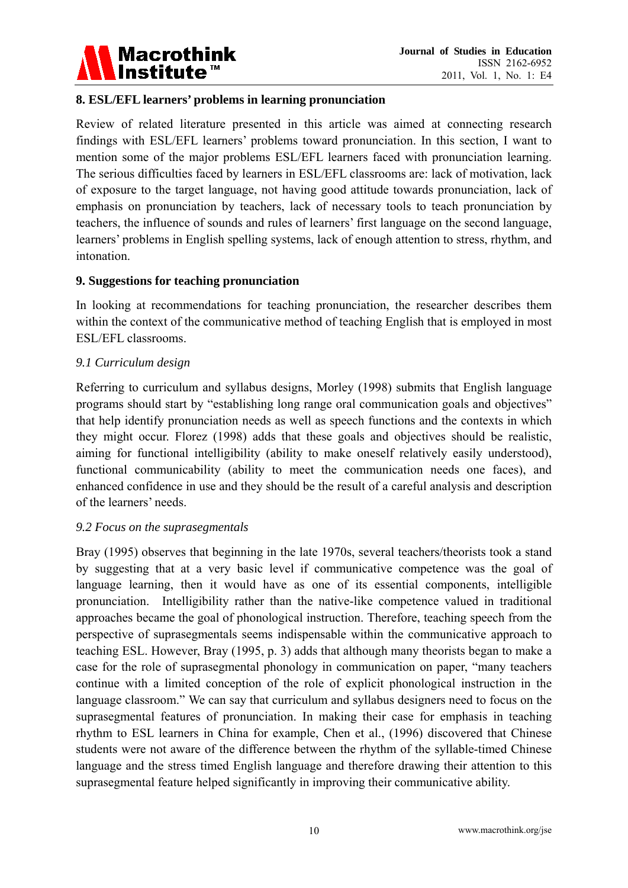

# **8. ESL/EFL learners' problems in learning pronunciation**

Review of related literature presented in this article was aimed at connecting research findings with ESL/EFL learners' problems toward pronunciation. In this section, I want to mention some of the major problems ESL/EFL learners faced with pronunciation learning. The serious difficulties faced by learners in ESL/EFL classrooms are: lack of motivation, lack of exposure to the target language, not having good attitude towards pronunciation, lack of emphasis on pronunciation by teachers, lack of necessary tools to teach pronunciation by teachers, the influence of sounds and rules of learners' first language on the second language, learners' problems in English spelling systems, lack of enough attention to stress, rhythm, and intonation.

#### **9. Suggestions for teaching pronunciation**

In looking at recommendations for teaching pronunciation, the researcher describes them within the context of the communicative method of teaching English that is employed in most ESL/EFL classrooms.

#### *9.1 Curriculum design*

Referring to curriculum and syllabus designs, Morley (1998) submits that English language programs should start by "establishing long range oral communication goals and objectives" that help identify pronunciation needs as well as speech functions and the contexts in which they might occur. Florez (1998) adds that these goals and objectives should be realistic, aiming for functional intelligibility (ability to make oneself relatively easily understood), functional communicability (ability to meet the communication needs one faces), and enhanced confidence in use and they should be the result of a careful analysis and description of the learners' needs.

#### *9.2 Focus on the suprasegmentals*

Bray (1995) observes that beginning in the late 1970s, several teachers/theorists took a stand by suggesting that at a very basic level if communicative competence was the goal of language learning, then it would have as one of its essential components, intelligible pronunciation. Intelligibility rather than the native-like competence valued in traditional approaches became the goal of phonological instruction. Therefore, teaching speech from the perspective of suprasegmentals seems indispensable within the communicative approach to teaching ESL. However, Bray (1995, p. 3) adds that although many theorists began to make a case for the role of suprasegmental phonology in communication on paper, "many teachers continue with a limited conception of the role of explicit phonological instruction in the language classroom." We can say that curriculum and syllabus designers need to focus on the suprasegmental features of pronunciation. In making their case for emphasis in teaching rhythm to ESL learners in China for example, Chen et al., (1996) discovered that Chinese students were not aware of the difference between the rhythm of the syllable-timed Chinese language and the stress timed English language and therefore drawing their attention to this suprasegmental feature helped significantly in improving their communicative ability.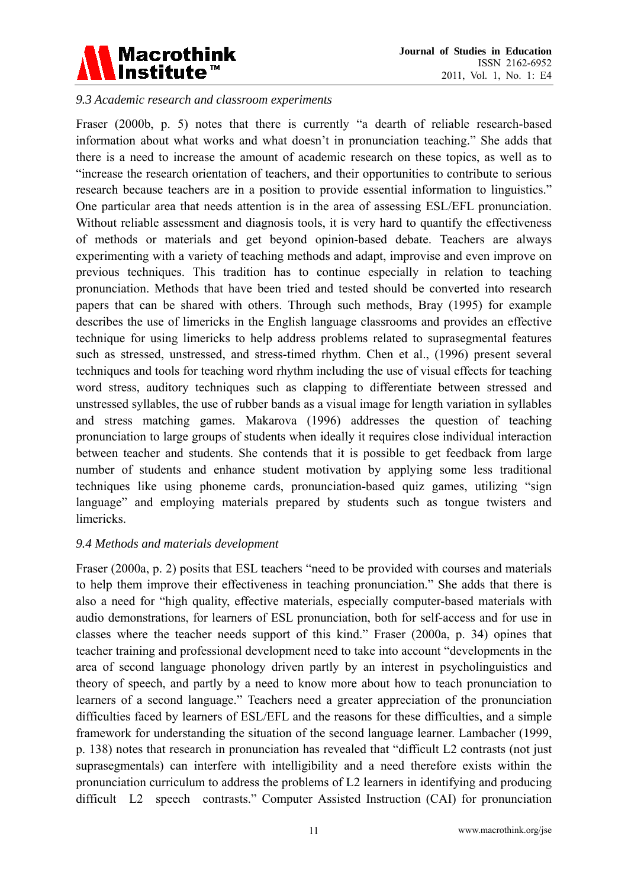

# *9.3 Academic research and classroom experiments*

Fraser (2000b, p. 5) notes that there is currently "a dearth of reliable research-based information about what works and what doesn't in pronunciation teaching." She adds that there is a need to increase the amount of academic research on these topics, as well as to "increase the research orientation of teachers, and their opportunities to contribute to serious research because teachers are in a position to provide essential information to linguistics." One particular area that needs attention is in the area of assessing ESL/EFL pronunciation. Without reliable assessment and diagnosis tools, it is very hard to quantify the effectiveness of methods or materials and get beyond opinion-based debate. Teachers are always experimenting with a variety of teaching methods and adapt, improvise and even improve on previous techniques. This tradition has to continue especially in relation to teaching pronunciation. Methods that have been tried and tested should be converted into research papers that can be shared with others. Through such methods, Bray (1995) for example describes the use of limericks in the English language classrooms and provides an effective technique for using limericks to help address problems related to suprasegmental features such as stressed, unstressed, and stress-timed rhythm. Chen et al., (1996) present several techniques and tools for teaching word rhythm including the use of visual effects for teaching word stress, auditory techniques such as clapping to differentiate between stressed and unstressed syllables, the use of rubber bands as a visual image for length variation in syllables and stress matching games. Makarova (1996) addresses the question of teaching pronunciation to large groups of students when ideally it requires close individual interaction between teacher and students. She contends that it is possible to get feedback from large number of students and enhance student motivation by applying some less traditional techniques like using phoneme cards, pronunciation-based quiz games, utilizing "sign language" and employing materials prepared by students such as tongue twisters and limericks.

#### *9.4 Methods and materials development*

Fraser (2000a, p. 2) posits that ESL teachers "need to be provided with courses and materials to help them improve their effectiveness in teaching pronunciation." She adds that there is also a need for "high quality, effective materials, especially computer-based materials with audio demonstrations, for learners of ESL pronunciation, both for self-access and for use in classes where the teacher needs support of this kind." Fraser (2000a, p. 34) opines that teacher training and professional development need to take into account "developments in the area of second language phonology driven partly by an interest in psycholinguistics and theory of speech, and partly by a need to know more about how to teach pronunciation to learners of a second language." Teachers need a greater appreciation of the pronunciation difficulties faced by learners of ESL/EFL and the reasons for these difficulties, and a simple framework for understanding the situation of the second language learner. Lambacher (1999, p. 138) notes that research in pronunciation has revealed that "difficult L2 contrasts (not just suprasegmentals) can interfere with intelligibility and a need therefore exists within the pronunciation curriculum to address the problems of L2 learners in identifying and producing difficult L2 speech contrasts." Computer Assisted Instruction (CAI) for pronunciation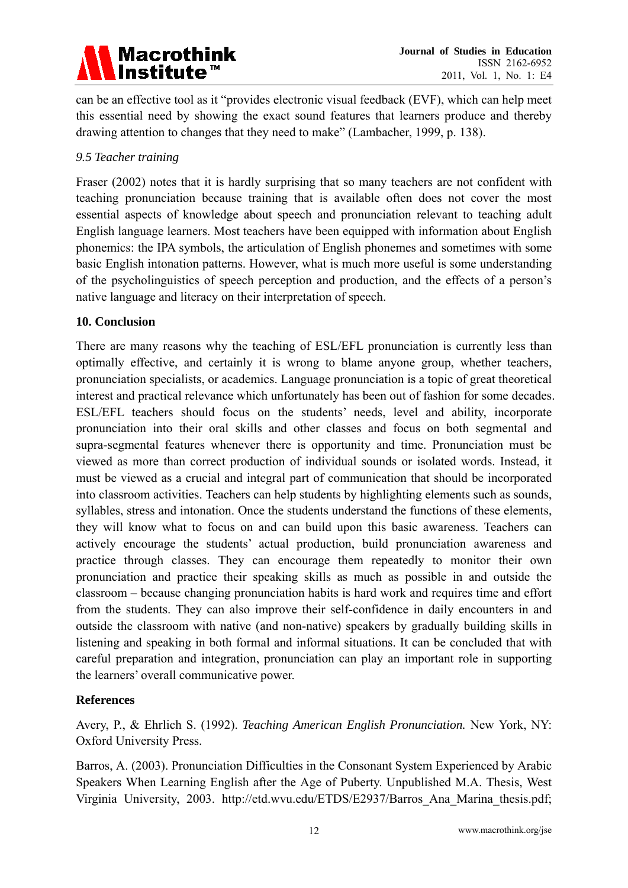

can be an effective tool as it "provides electronic visual feedback (EVF), which can help meet this essential need by showing the exact sound features that learners produce and thereby drawing attention to changes that they need to make" (Lambacher, 1999, p. 138).

# *9.5 Teacher training*

Fraser (2002) notes that it is hardly surprising that so many teachers are not confident with teaching pronunciation because training that is available often does not cover the most essential aspects of knowledge about speech and pronunciation relevant to teaching adult English language learners. Most teachers have been equipped with information about English phonemics: the IPA symbols, the articulation of English phonemes and sometimes with some basic English intonation patterns. However, what is much more useful is some understanding of the psycholinguistics of speech perception and production, and the effects of a person's native language and literacy on their interpretation of speech.

# **10. Conclusion**

There are many reasons why the teaching of ESL/EFL pronunciation is currently less than optimally effective, and certainly it is wrong to blame anyone group, whether teachers, pronunciation specialists, or academics. Language pronunciation is a topic of great theoretical interest and practical relevance which unfortunately has been out of fashion for some decades. ESL/EFL teachers should focus on the students' needs, level and ability, incorporate pronunciation into their oral skills and other classes and focus on both segmental and supra-segmental features whenever there is opportunity and time. Pronunciation must be viewed as more than correct production of individual sounds or isolated words. Instead, it must be viewed as a crucial and integral part of communication that should be incorporated into classroom activities. Teachers can help students by highlighting elements such as sounds, syllables, stress and intonation. Once the students understand the functions of these elements, they will know what to focus on and can build upon this basic awareness. Teachers can actively encourage the students' actual production, build pronunciation awareness and practice through classes. They can encourage them repeatedly to monitor their own pronunciation and practice their speaking skills as much as possible in and outside the classroom – because changing pronunciation habits is hard work and requires time and effort from the students. They can also improve their self-confidence in daily encounters in and outside the classroom with native (and non-native) speakers by gradually building skills in listening and speaking in both formal and informal situations. It can be concluded that with careful preparation and integration, pronunciation can play an important role in supporting the learners' overall communicative power.

# **References**

Avery, P., & Ehrlich S. (1992). *Teaching American English Pronunciation.* New York, NY: Oxford University Press.

Barros, A. (2003). Pronunciation Difficulties in the Consonant System Experienced by Arabic Speakers When Learning English after the Age of Puberty. Unpublished M.A. Thesis, West Virginia University, 2003. http://etd.wvu.edu/ETDS/E2937/Barros\_Ana\_Marina\_thesis.pdf;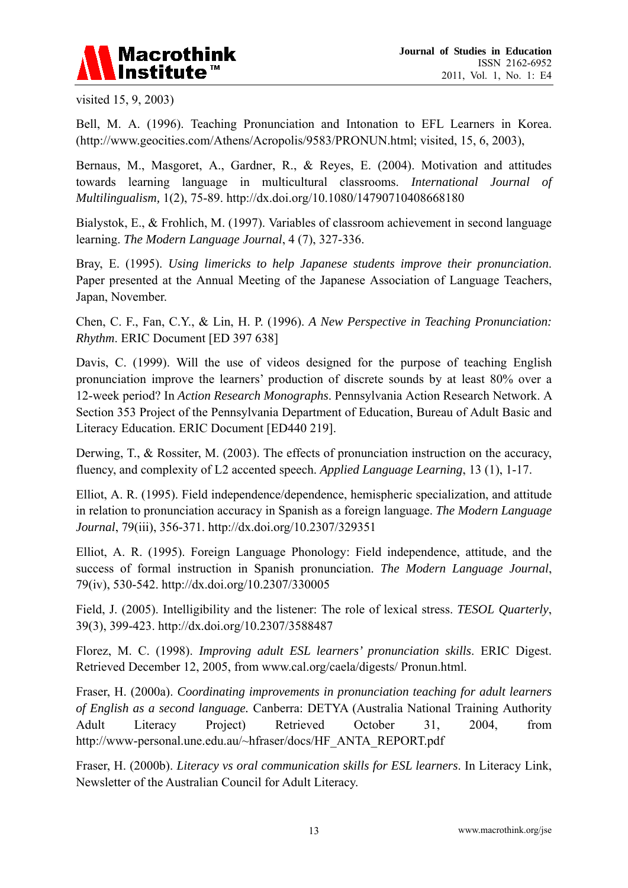

visited 15, 9, 2003)

Bell, M. A. (1996). Teaching Pronunciation and Intonation to EFL Learners in Korea. (http://www.geocities.com/Athens/Acropolis/9583/PRONUN.html; visited, 15, 6, 2003),

Bernaus, M., Masgoret, A., Gardner, R., & Reyes, E. (2004). Motivation and attitudes towards learning language in multicultural classrooms. *International Journal of Multilingualism,* 1(2), 75-89. http://dx.doi.org/10.1080/14790710408668180

Bialystok, E., & Frohlich, M. (1997). Variables of classroom achievement in second language learning. *The Modern Language Journal*, 4 (7), 327-336.

Bray, E. (1995). *Using limericks to help Japanese students improve their pronunciation*. Paper presented at the Annual Meeting of the Japanese Association of Language Teachers, Japan, November.

Chen, C. F., Fan, C.Y., & Lin, H. P. (1996). *A New Perspective in Teaching Pronunciation: Rhythm*. ERIC Document [ED 397 638]

Davis, C. (1999). Will the use of videos designed for the purpose of teaching English pronunciation improve the learners' production of discrete sounds by at least 80% over a 12-week period? In *Action Research Monographs*. Pennsylvania Action Research Network. A Section 353 Project of the Pennsylvania Department of Education, Bureau of Adult Basic and Literacy Education. ERIC Document [ED440 219].

Derwing, T., & Rossiter, M. (2003). The effects of pronunciation instruction on the accuracy, fluency, and complexity of L2 accented speech. *Applied Language Learning*, 13 (1), 1-17.

Elliot, A. R. (1995). Field independence/dependence, hemispheric specialization, and attitude in relation to pronunciation accuracy in Spanish as a foreign language. *The Modern Language Journal*, 79(iii), 356-371. http://dx.doi.org/10.2307/329351

Elliot, A. R. (1995). Foreign Language Phonology: Field independence, attitude, and the success of formal instruction in Spanish pronunciation. *The Modern Language Journal*, 79(iv), 530-542. http://dx.doi.org/10.2307/330005

Field, J. (2005). Intelligibility and the listener: The role of lexical stress. *TESOL Quarterly*, 39(3), 399-423. http://dx.doi.org/10.2307/3588487

Florez, M. C. (1998). *Improving adult ESL learners' pronunciation skills*. ERIC Digest. Retrieved December 12, 2005, from www.cal.org/caela/digests/ Pronun.html.

Fraser, H. (2000a). *Coordinating improvements in pronunciation teaching for adult learners of English as a second language.* Canberra: DETYA (Australia National Training Authority Adult Literacy Project) Retrieved October 31, 2004, from http://www-personal.une.edu.au/~hfraser/docs/HF\_ANTA\_REPORT.pdf

Fraser, H. (2000b). *Literacy vs oral communication skills for ESL learners*. In Literacy Link, Newsletter of the Australian Council for Adult Literacy.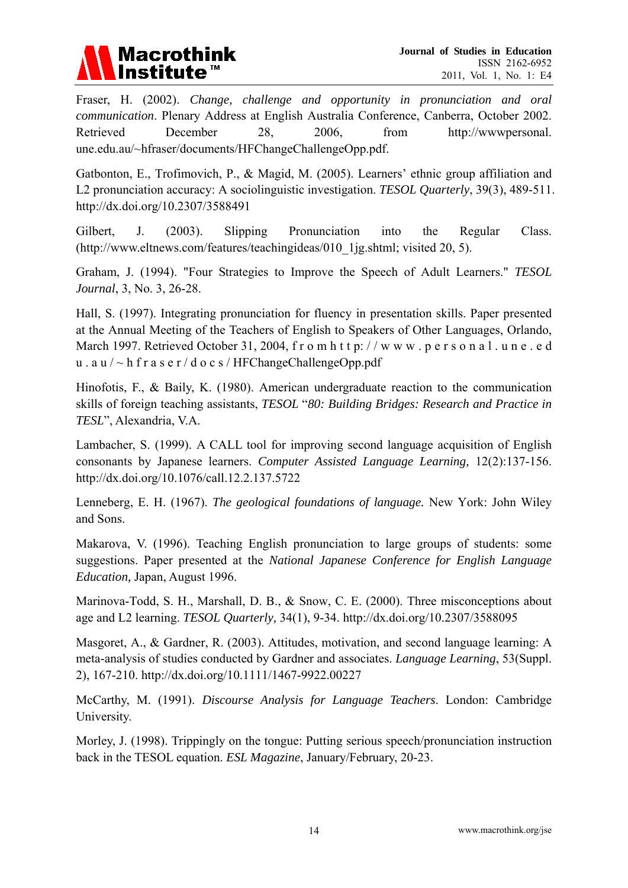

Fraser, H. (2002). *Change, challenge and opportunity in pronunciation and oral communication*. Plenary Address at English Australia Conference, Canberra, October 2002. Retrieved December 28, 2006, from http://www.personal. une.edu.au/~hfraser/documents/HFChangeChallengeOpp.pdf.

Gatbonton, E., Trofimovich, P., & Magid, M. (2005). Learners' ethnic group affiliation and L2 pronunciation accuracy: A sociolinguistic investigation. *TESOL Quarterly*, 39(3), 489-511. http://dx.doi.org/10.2307/3588491

Gilbert, J. (2003). Slipping Pronunciation into the Regular Class. (http://www.eltnews.com/features/teachingideas/010\_1jg.shtml; visited 20, 5).

Graham, J. (1994). "Four Strategies to Improve the Speech of Adult Learners." *TESOL Journal*, 3, No. 3, 26-28.

Hall, S. (1997). Integrating pronunciation for fluency in presentation skills. Paper presented at the Annual Meeting of the Teachers of English to Speakers of Other Languages, Orlando, March 1997. Retrieved October 31, 2004, f r o m h t t p: //www.personal.une.ed u . a u  $/ \sim$  h f r a s e r  $/$  d o c s  $/$  HFChangeChallengeOpp.pdf

Hinofotis, F., & Baily, K. (1980). American undergraduate reaction to the communication skills of foreign teaching assistants, *TESOL* "*80: Building Bridges: Research and Practice in TESL*", Alexandria, V.A.

Lambacher, S. (1999). A CALL tool for improving second language acquisition of English consonants by Japanese learners. *Computer Assisted Language Learning,* 12(2):137-156. http://dx.doi.org/10.1076/call.12.2.137.5722

Lenneberg, E. H. (1967). *The geological foundations of language.* New York: John Wiley and Sons.

Makarova, V. (1996). Teaching English pronunciation to large groups of students: some suggestions. Paper presented at the *National Japanese Conference for English Language Education,* Japan, August 1996.

Marinova-Todd, S. H., Marshall, D. B., & Snow, C. E. (2000). Three misconceptions about age and L2 learning. *TESOL Quarterly,* 34(1), 9-34. http://dx.doi.org/10.2307/3588095

Masgoret, A., & Gardner, R. (2003). Attitudes, motivation, and second language learning: A meta-analysis of studies conducted by Gardner and associates. *Language Learning*, 53(Suppl. 2), 167-210. http://dx.doi.org/10.1111/1467-9922.00227

McCarthy, M. (1991). *Discourse Analysis for Language Teachers*. London: Cambridge University.

Morley, J. (1998). Trippingly on the tongue: Putting serious speech/pronunciation instruction back in the TESOL equation. *ESL Magazine*, January/February, 20-23.